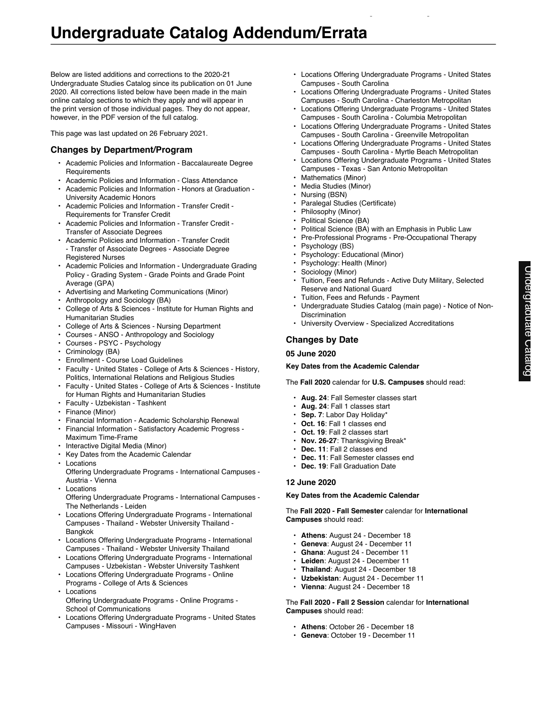Below are listed additions and corrections to the 2020-21 Undergraduate Studies Catalog since its publication on 01 June 2020. All corrections listed below have been made in the main online catalog sections to which they apply and will appear in the print version of those individual pages. They do not appear, however, in the PDF version of the full catalog.

This page was last updated on 26 February 2021.

## **Changes by Department/Program**

- Academic Policies and Information Baccalaureate Degree **Requirements**
- Academic Policies and Information Class Attendance
- Academic Policies and Information Honors at Graduation University Academic Honors
- Academic Policies and Information Transfer Credit Requirements for Transfer Credit
- Academic Policies and Information Transfer Credit Transfer of Associate Degrees
- Academic Policies and Information Transfer Credit - Transfer of Associate Degrees - Associate Degree Registered Nurses
- Academic Policies and Information Undergraduate Grading Policy - Grading System - Grade Points and Grade Point Average (GPA)
- Advertising and Marketing Communications (Minor)
- Anthropology and Sociology (BA)
- College of Arts & Sciences Institute for Human Rights and Humanitarian Studies
- College of Arts & Sciences Nursing Department
- Courses ANSO Anthropology and Sociology
- Courses PSYC Psychology
- Criminology (BA)
- Enrollment Course Load Guidelines
- Faculty United States College of Arts & Sciences History, Politics, International Relations and Religious Studies
- Faculty United States College of Arts & Sciences Institute for Human Rights and Humanitarian Studies
- Faculty Uzbekistan Tashkent
- Finance (Minor)
- Financial Information Academic Scholarship Renewal
- Financial Information Satisfactory Academic Progress Maximum Time-Frame
- Interactive Digital Media (Minor)
- Key Dates from the Academic Calendar
- Locations Offering Undergraduate Programs - International Campuses -
- Austria Vienna • Locations
- Offering Undergraduate Programs International Campuses The Netherlands - Leiden
- Locations Offering Undergraduate Programs International Campuses - Thailand - Webster University Thailand - Bangkok
- Locations Offering Undergraduate Programs International Campuses - Thailand - Webster University Thailand
- Locations Offering Undergraduate Programs International Campuses - Uzbekistan - Webster University Tashkent
- Locations Offering Undergraduate Programs Online Programs - College of Arts & Sciences
- **Locations** Offering Undergraduate Programs - Online Programs - School of Communications
- Locations Offering Undergraduate Programs United States Campuses - Missouri - WingHaven

• Locations Offering Undergraduate Programs - United States Campuses - South Carolina

Undergraduate Catalog Addendum/Errata

- Locations Offering Undergraduate Programs United States Campuses - South Carolina - Charleston Metropolitan
- Locations Offering Undergraduate Programs United States Campuses - South Carolina - Columbia Metropolitan
- Locations Offering Undergraduate Programs United States Campuses - South Carolina - Greenville Metropolitan
- Locations Offering Undergraduate Programs United States Campuses - South Carolina - Myrtle Beach Metropolitan
- Locations Offering Undergraduate Programs United States Campuses - Texas - San Antonio Metropolitan
	- Mathematics (Minor)
- Media Studies (Minor)
- Nursing (BSN)
- Paralegal Studies (Certificate)
- Philosophy (Minor)
- Political Science (BA)
- Political Science (BA) with an Emphasis in Public Law
- Pre-Professional Programs Pre-Occupational Therapy
- Psychology (BS)
- Psychology: Educational (Minor)
- Psychology: Health (Minor)
- Sociology (Minor)
- Tuition, Fees and Refunds Active Duty Military, Selected Reserve and National Guard
- Tuition, Fees and Refunds Payment
- Undergraduate Studies Catalog (main page) Notice of Non-**Discrimination**
- University Overview Specialized Accreditations

## **Changes by Date**

## **05 June 2020**

## **Key Dates from the Academic Calendar**

The **Fall 2020** calendar for **U.S. Campuses** should read:

- **Aug. 24**: Fall Semester classes start
- **Aug. 24**: Fall 1 classes start
- **Sep. 7**: Labor Day Holiday\*
- **Oct. 16**: Fall 1 classes end
- **Oct. 19**: Fall 2 classes start
- **Nov. 26-27**: Thanksgiving Break\*
- **Dec. 11**: Fall 2 classes end
- Dec. 11: Fall Semester classes end
- **Dec. 19**: Fall Graduation Date

## **12 June 2020**

## **Key Dates from the Academic Calendar**

The **Fall 2020 - Fall Semester** calendar for **International Campuses** should read:

- **Athens**: August 24 December 18
- **Geneva**: August 24 December 11
- **Ghana**: August 24 December 11
- **Leiden**: August 24 December 11
- **Thailand**: August 24 December 18
- **Uzbekistan**: August 24 December 11
- **Vienna**: August 24 December 18

The **Fall 2020 - Fall 2 Session** calendar for **International Campuses** should read:

- **Athens**: October 26 December 18
- **Geneva**: October 19 December 11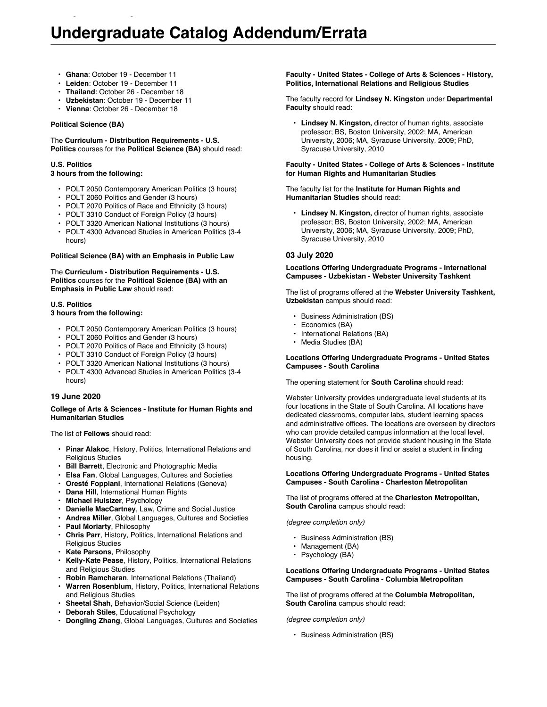- **Ghana**: October 19 December 11
- **Leiden**: October 19 December 11
- **Thailand**: October 26 December 18
- **Uzbekistan**: October 19 December 11

Undergraduate Catalog Addendum/Errata

• **Vienna**: October 26 - December 18

#### **Political Science (BA)**

The **Curriculum - Distribution Requirements - U.S. Politics** courses for the **Political Science (BA)** should read:

#### **U.S. Politics**

## **3 hours from the following:**

- POLT 2050 Contemporary American Politics (3 hours)
- POLT 2060 Politics and Gender (3 hours)
- POLT 2070 Politics of Race and Ethnicity (3 hours)
- POLT 3310 Conduct of Foreign Policy (3 hours)
- POLT 3320 American National Institutions (3 hours)
- POLT 4300 Advanced Studies in American Politics (3-4 hours)

#### **Political Science (BA) with an Emphasis in Public Law**

The **Curriculum - Distribution Requirements - U.S. Politics** courses for the **Political Science (BA) with an Emphasis in Public Law** should read:

#### **U.S. Politics**

## **3 hours from the following:**

- POLT 2050 Contemporary American Politics (3 hours)
- POLT 2060 Politics and Gender (3 hours)
- POLT 2070 Politics of Race and Ethnicity (3 hours)
- POLT 3310 Conduct of Foreign Policy (3 hours)
- POLT 3320 American National Institutions (3 hours)
- POLT 4300 Advanced Studies in American Politics (3-4 hours)

## **19 June 2020**

#### **College of Arts & Sciences - Institute for Human Rights and Humanitarian Studies**

The list of **Fellows** should read:

- **Pinar Alakoc**, History, Politics, International Relations and Religious Studies
- **Bill Barrett**, Electronic and Photographic Media
- **Elsa Fan**, Global Languages, Cultures and Societies
- **Oresté Foppiani**, International Relations (Geneva)
- **Dana Hill**, International Human Rights
- **Michael Hulsizer**, Psychology
- **Danielle MacCartney**, Law, Crime and Social Justice
- **Andrea Miller**, Global Languages, Cultures and Societies
- **Paul Moriarty**, Philosophy
- **Chris Parr**, History, Politics, International Relations and Religious Studies
- **Kate Parsons**, Philosophy
- **Kelly-Kate Pease**, History, Politics, International Relations and Religious Studies
- **Robin Ramcharan**, International Relations (Thailand)
- **Warren Rosenblum**, History, Politics, International Relations and Religious Studies
- **Sheetal Shah**, Behavior/Social Science (Leiden)
- **Deborah Stiles**, Educational Psychology
- **Dongling Zhang**, Global Languages, Cultures and Societies

## **Faculty - United States - College of Arts & Sciences - History, Politics, International Relations and Religious Studies**

The faculty record for **Lindsey N. Kingston** under **Departmental Faculty** should read:

• **Lindsey N. Kingston,** director of human rights, associate professor; BS, Boston University, 2002; MA, American University, 2006; MA, Syracuse University, 2009; PhD, Syracuse University, 2010

## **Faculty - United States - College of Arts & Sciences - Institute for Human Rights and Humanitarian Studies**

## The faculty list for the **Institute for Human Rights and Humanitarian Studies** should read:

• **Lindsey N. Kingston,** director of human rights, associate professor; BS, Boston University, 2002; MA, American University, 2006; MA, Syracuse University, 2009; PhD, Syracuse University, 2010

## **03 July 2020**

#### **Locations Offering Undergraduate Programs - International Campuses - Uzbekistan - Webster University Tashkent**

The list of programs offered at the **Webster University Tashkent, Uzbekistan** campus should read:

- Business Administration (BS)
- Economics (BA)
- International Relations (BA)
- Media Studies (BA)

## **Locations Offering Undergraduate Programs - United States Campuses - South Carolina**

The opening statement for **South Carolina** should read:

Webster University provides undergraduate level students at its four locations in the State of South Carolina. All locations have dedicated classrooms, computer labs, student learning spaces and administrative offices. The locations are overseen by directors who can provide detailed campus information at the local level. Webster University does not provide student housing in the State of South Carolina, nor does it find or assist a student in finding housing.

#### **Locations Offering Undergraduate Programs - United States Campuses - South Carolina - Charleston Metropolitan**

The list of programs offered at the **Charleston Metropolitan, South Carolina** campus should read:

*(degree completion only)*

- Business Administration (BS)
- Management (BA)
- Psychology (BA)

#### **Locations Offering Undergraduate Programs - United States Campuses - South Carolina - Columbia Metropolitan**

The list of programs offered at the **Columbia Metropolitan, South Carolina** campus should read:

*(degree completion only)*

• Business Administration (BS)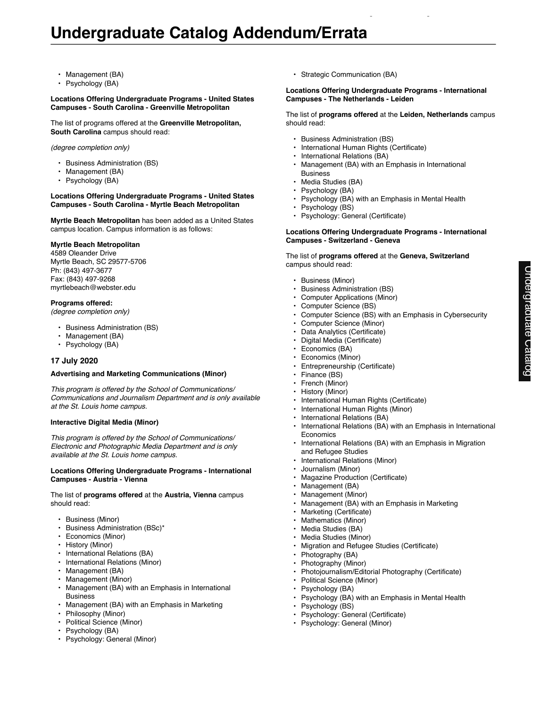- Management (BA)
- Psychology (BA)

#### **Locations Offering Undergraduate Programs - United States Campuses - South Carolina - Greenville Metropolitan**

The list of programs offered at the **Greenville Metropolitan, South Carolina** campus should read:

*(degree completion only)*

- Business Administration (BS)
- Management (BA)
- Psychology (BA)

#### **Locations Offering Undergraduate Programs - United States Campuses - South Carolina - Myrtle Beach Metropolitan**

**Myrtle Beach Metropolitan** has been added as a United States campus location. Campus information is as follows:

## **Myrtle Beach Metropolitan**

4589 Oleander Drive Myrtle Beach, SC 29577-5706 Ph: (843) 497-3677 Fax: (843) 497-9268 myrtlebeach@webster.edu

#### **Programs offered:**

*(degree completion only)*

- Business Administration (BS)
- Management (BA)
- Psychology (BA)

## **17 July 2020**

## **Advertising and Marketing Communications (Minor)**

*This program is offered by the School of Communications/ Communications and Journalism Department and is only available at the St. Louis home campus.*

#### **Interactive Digital Media (Minor)**

*This program is offered by the School of Communications/ Electronic and Photographic Media Department and is only available at the St. Louis home campus.*

#### **Locations Offering Undergraduate Programs - International Campuses - Austria - Vienna**

The list of **programs offered** at the **Austria, Vienna** campus should read:

- Business (Minor)
- Business Administration (BSc)\*
- Economics (Minor)
- History (Minor)
- International Relations (BA)
- International Relations (Minor)
- Management (BA)
- Management (Minor)
- Management (BA) with an Emphasis in International Business
- Management (BA) with an Emphasis in Marketing
- Philosophy (Minor)
- Political Science (Minor)
- Psychology (BA)
- Psychology: General (Minor)

• Strategic Communication (BA)

## **Locations Offering Undergraduate Programs - International Campuses - The Netherlands - Leiden**

Undergraduate Catalog Addendum/Errata

The list of **programs offered** at the **Leiden, Netherlands** campus should read:

- Business Administration (BS)
- International Human Rights (Certificate)
- International Relations (BA)
- Management (BA) with an Emphasis in International Business
- Media Studies (BA)
- Psychology (BA)
- Psychology (BA) with an Emphasis in Mental Health
- Psychology (BS)
- Psychology: General (Certificate)

#### **Locations Offering Undergraduate Programs - International Campuses - Switzerland - Geneva**

The list of **programs offered** at the **Geneva, Switzerland** campus should read:

- Business (Minor)
- Business Administration (BS)
- Computer Applications (Minor)
- Computer Science (BS)
- Computer Science (BS) with an Emphasis in Cybersecurity
- Computer Science (Minor)
- Data Analytics (Certificate)
- Digital Media (Certificate)
- Economics (BA)
- Economics (Minor)
- Entrepreneurship (Certificate)
- Finance (BS)
- French (Minor)
- History (Minor)
- International Human Rights (Certificate)
- International Human Rights (Minor)
- International Relations (BA)
- International Relations (BA) with an Emphasis in International **Economics**
- International Relations (BA) with an Emphasis in Migration and Refugee Studies
- International Relations (Minor)
- Journalism (Minor)
- Magazine Production (Certificate)
- Management (BA)
- Management (Minor)
- Management (BA) with an Emphasis in Marketing
- Marketing (Certificate)
- Mathematics (Minor)
- Media Studies (BA)
- Media Studies (Minor)
- Migration and Refugee Studies (Certificate)
- Photography (BA)
- Photography (Minor)
- Photojournalism/Editorial Photography (Certificate)
- Political Science (Minor)
- Psychology (BA)
- Psychology (BA) with an Emphasis in Mental Health
- Psychology (BS)
- Psychology: General (Certificate)
- Psychology: General (Minor)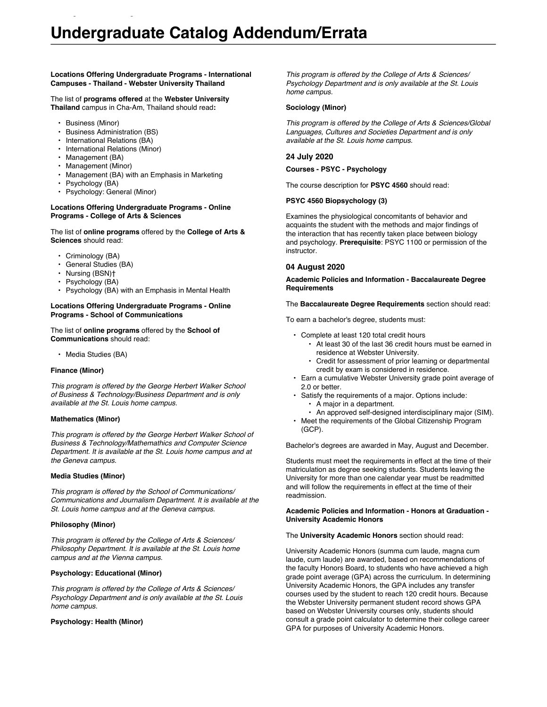## **Locations Offering Undergraduate Programs - International Campuses - Thailand - Webster University Thailand**

The list of **programs offered** at the **Webster University Thailand** campus in Cha-Am, Thailand should read**:**

Undergraduate Catalog Addendum/Errata

- Business (Minor)
- Business Administration (BS)
- International Relations (BA)
- International Relations (Minor)
- Management (BA)
- Management (Minor)
- Management (BA) with an Emphasis in Marketing
- Psychology (BA)
- Psychology: General (Minor)

#### **Locations Offering Undergraduate Programs - Online Programs - College of Arts & Sciences**

The list of **online programs** offered by the **College of Arts & Sciences** should read:

- Criminology (BA)
- General Studies (BA)
- Nursing (BSN)†
- Psychology (BA)
- Psychology (BA) with an Emphasis in Mental Health

#### **Locations Offering Undergraduate Programs - Online Programs - School of Communications**

The list of **online programs** offered by the **School of Communications** should read:

• Media Studies (BA)

## **Finance (Minor)**

*This program is offered by the George Herbert Walker School of Business & Technology/Business Department and is only available at the St. Louis home campus.*

## **Mathematics (Minor)**

*This program is offered by the George Herbert Walker School of Business & Technology/Mathemathics and Computer Science Department. It is available at the St. Louis home campus and at the Geneva campus.*

## **Media Studies (Minor)**

*This program is offered by the School of Communications/ Communications and Journalism Department. It is available at the St. Louis home campus and at the Geneva campus.*

## **Philosophy (Minor)**

*This program is offered by the College of Arts & Sciences/ Philosophy Department. It is available at the St. Louis home campus and at the Vienna campus.*

## **Psychology: Educational (Minor)**

*This program is offered by the College of Arts & Sciences/ Psychology Department and is only available at the St. Louis home campus.*

## **Psychology: Health (Minor)**

*This program is offered by the College of Arts & Sciences/ Psychology Department and is only available at the St. Louis home campus.*

## **Sociology (Minor)**

*This program is offered by the College of Arts & Sciences/Global Languages, Cultures and Societies Department and is only available at the St. Louis home campus.*

## **24 July 2020**

## **Courses - PSYC - Psychology**

The course description for **PSYC 4560** should read:

## **PSYC 4560 Biopsychology (3)**

Examines the physiological concomitants of behavior and acquaints the student with the methods and major findings of the interaction that has recently taken place between biology and psychology. **Prerequisite**: PSYC 1100 or permission of the instructor.

## **04 August 2020**

#### **Academic Policies and Information - Baccalaureate Degree Requirements**

The **Baccalaureate Degree Requirements** section should read:

To earn a bachelor's degree, students must:

- Complete at least 120 total credit hours
	- At least 30 of the last 36 credit hours must be earned in residence at Webster University.
	- Credit for assessment of prior learning or departmental credit by exam is considered in residence.
- Earn a cumulative Webster University grade point average of 2.0 or better.
	- Satisfy the requirements of a major. Options include:
		- A major in a department.
	- An approved self-designed interdisciplinary major (SIM).
- Meet the requirements of the Global Citizenship Program (GCP).

Bachelor's degrees are awarded in May, August and December.

Students must meet the requirements in effect at the time of their matriculation as degree seeking students. Students leaving the University for more than one calendar year must be readmitted and will follow the requirements in effect at the time of their readmission.

#### **Academic Policies and Information - Honors at Graduation - University Academic Honors**

The **University Academic Honors** section should read:

University Academic Honors (summa cum laude, magna cum laude, cum laude) are awarded, based on recommendations of the faculty Honors Board, to students who have achieved a high grade point average (GPA) across the curriculum. In determining University Academic Honors, the GPA includes any transfer courses used by the student to reach 120 credit hours. Because the Webster University permanent student record shows GPA based on Webster University courses only, students should consult a grade point calculator to determine their college career GPA for purposes of University Academic Honors.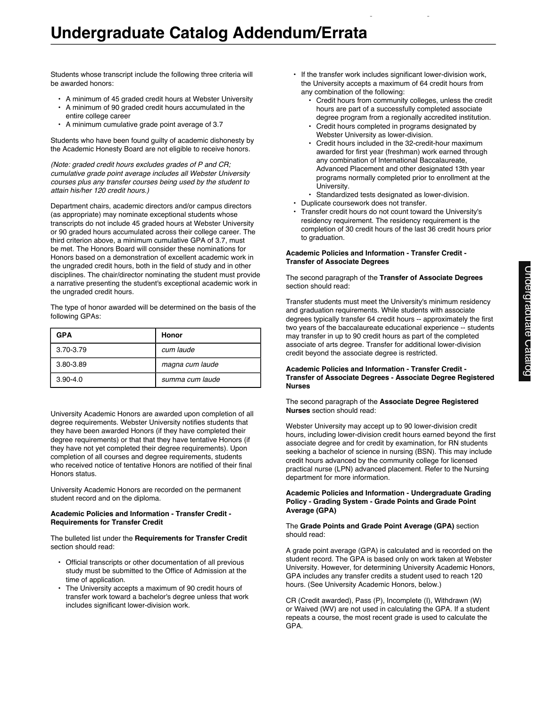Students whose transcript include the following three criteria will be awarded honors:

- A minimum of 45 graded credit hours at Webster University<br>• A minimum of 90 graded credit hours accumulated in the
- A minimum of 90 graded credit hours accumulated in the entire college career
- A minimum cumulative grade point average of 3.7

Students who have been found guilty of academic dishonesty by the Academic Honesty Board are not eligible to receive honors.

*(Note: graded credit hours excludes grades of P and CR; cumulative grade point average includes all Webster University courses plus any transfer courses being used by the student to attain his/her 120 credit hours.)*

Department chairs, academic directors and/or campus directors (as appropriate) may nominate exceptional students whose transcripts do not include 45 graded hours at Webster University or 90 graded hours accumulated across their college career. The third criterion above, a minimum cumulative GPA of 3.7, must be met. The Honors Board will consider these nominations for Honors based on a demonstration of excellent academic work in the ungraded credit hours, both in the field of study and in other disciplines. The chair/director nominating the student must provide a narrative presenting the student's exceptional academic work in the ungraded credit hours.

The type of honor awarded will be determined on the basis of the following GPAs:

| <b>GPA</b>   | Honor           |
|--------------|-----------------|
| 3.70-3.79    | cum laude       |
| 3.80-3.89    | magna cum laude |
| $3.90 - 4.0$ | summa cum laude |

University Academic Honors are awarded upon completion of all degree requirements. Webster University notifies students that they have been awarded Honors (if they have completed their degree requirements) or that that they have tentative Honors (if they have not yet completed their degree requirements). Upon completion of all courses and degree requirements, students who received notice of tentative Honors are notified of their final Honors status.

University Academic Honors are recorded on the permanent student record and on the diploma.

## **Academic Policies and Information - Transfer Credit - Requirements for Transfer Credit**

The bulleted list under the **Requirements for Transfer Credit** section should read:

- Official transcripts or other documentation of all previous study must be submitted to the Office of Admission at the time of application.
- The University accepts a maximum of 90 credit hours of transfer work toward a bachelor's degree unless that work includes significant lower-division work.
- If the transfer work includes significant lower-division work, the University accepts a maximum of 64 credit hours from any combination of the following:
	- Credit hours from community colleges, unless the credit hours are part of a successfully completed associate degree program from a regionally accredited institution.

Undergraduate Catalog Addendum/Errata

- Credit hours completed in programs designated by Webster University as lower-division.
- Credit hours included in the 32-credit-hour maximum awarded for first year (freshman) work earned through any combination of International Baccalaureate, Advanced Placement and other designated 13th year programs normally completed prior to enrollment at the University.
- Standardized tests designated as lower-division.
- Duplicate coursework does not transfer.
- Transfer credit hours do not count toward the University's residency requirement. The residency requirement is the completion of 30 credit hours of the last 36 credit hours prior to graduation.

#### **Academic Policies and Information - Transfer Credit - Transfer of Associate Degrees**

## The second paragraph of the **Transfer of Associate Degrees** section should read:

Transfer students must meet the University's minimum residency and graduation requirements. While students with associate degrees typically transfer 64 credit hours -- approximately the first two years of the baccalaureate educational experience -- students may transfer in up to 90 credit hours as part of the completed associate of arts degree. Transfer for additional lower-division credit beyond the associate degree is restricted.

## **Academic Policies and Information - Transfer Credit - Transfer of Associate Degrees - Associate Degree Registered Nurses**

## The second paragraph of the **Associate Degree Registered Nurses** section should read:

Webster University may accept up to 90 lower-division credit hours, including lower-division credit hours earned beyond the first associate degree and for credit by examination, for RN students seeking a bachelor of science in nursing (BSN). This may include credit hours advanced by the community college for licensed practical nurse (LPN) advanced placement. Refer to the Nursing department for more information.

## **Academic Policies and Information - Undergraduate Grading Policy - Grading System - Grade Points and Grade Point Average (GPA)**

## The **Grade Points and Grade Point Average (GPA)** section should read:

A grade point average (GPA) is calculated and is recorded on the student record. The GPA is based only on work taken at Webster University. However, for determining University Academic Honors, GPA includes any transfer credits a student used to reach 120 hours. (See University Academic Honors, below.)

CR (Credit awarded), Pass (P), Incomplete (I), Withdrawn (W) or Waived (WV) are not used in calculating the GPA. If a student repeats a course, the most recent grade is used to calculate the GPA.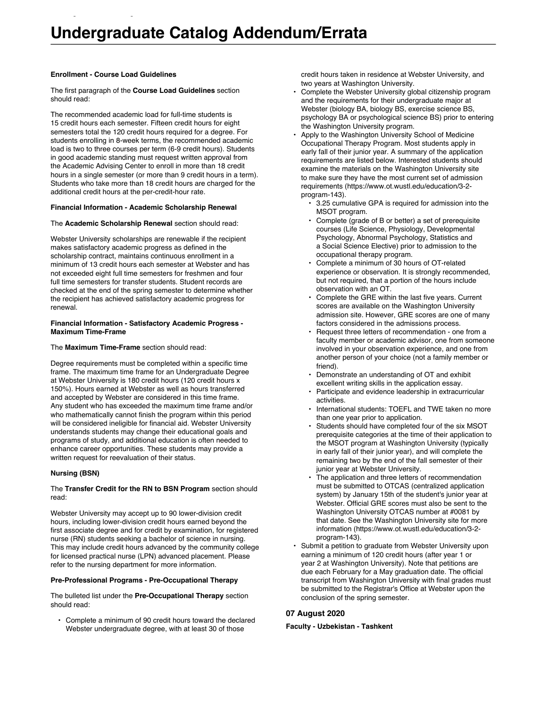#### **Enrollment - Course Load Guidelines**

Undergraduate Catalog Addendum/Errata

The first paragraph of the **Course Load Guidelines** section should read:

The recommended academic load for full-time students is 15 credit hours each semester. Fifteen credit hours for eight semesters total the 120 credit hours required for a degree. For students enrolling in 8-week terms, the recommended academic load is two to three courses per term (6-9 credit hours). Students in good academic standing must request written approval from the Academic Advising Center to enroll in more than 18 credit hours in a single semester (or more than 9 credit hours in a term). Students who take more than 18 credit hours are charged for the additional credit hours at the per-credit-hour rate.

## **Financial Information - Academic Scholarship Renewal**

## The **Academic Scholarship Renewal** section should read:

Webster University scholarships are renewable if the recipient makes satisfactory academic progress as defined in the scholarship contract, maintains continuous enrollment in a minimum of 13 credit hours each semester at Webster and has not exceeded eight full time semesters for freshmen and four full time semesters for transfer students. Student records are checked at the end of the spring semester to determine whether the recipient has achieved satisfactory academic progress for renewal.

## **Financial Information - Satisfactory Academic Progress - Maximum Time-Frame**

## The **Maximum Time-Frame** section should read:

Degree requirements must be completed within a specific time frame. The maximum time frame for an Undergraduate Degree at Webster University is 180 credit hours (120 credit hours x 150%). Hours earned at Webster as well as hours transferred and accepted by Webster are considered in this time frame. Any student who has exceeded the maximum time frame and/or who mathematically cannot finish the program within this period will be considered ineligible for financial aid. Webster University understands students may change their educational goals and programs of study, and additional education is often needed to enhance career opportunities. These students may provide a written request for reevaluation of their status.

## **Nursing (BSN)**

## The **Transfer Credit for the RN to BSN Program** section should read:

Webster University may accept up to 90 lower-division credit hours, including lower-division credit hours earned beyond the first associate degree and for credit by examination, for registered nurse (RN) students seeking a bachelor of science in nursing. This may include credit hours advanced by the community college for licensed practical nurse (LPN) advanced placement. Please refer to the nursing department for more information.

## **Pre-Professional Programs - Pre-Occupational Therapy**

The bulleted list under the **Pre-Occupational Therapy** section should read:

• Complete a minimum of 90 credit hours toward the declared Webster undergraduate degree, with at least 30 of those

credit hours taken in residence at Webster University, and two years at Washington University.

- Complete the Webster University global citizenship program and the requirements for their undergraduate major at Webster (biology BA, biology BS, exercise science BS, psychology BA or psychological science BS) prior to entering the Washington University program.
- Apply to the Washington University School of Medicine Occupational Therapy Program. Most students apply in early fall of their junior year. A summary of the application requirements are listed below. Interested students should examine the materials on the Washington University site to make sure they have the most current set of admission requirements (https://www.ot.wustl.edu/education/3-2 program-143).
	- 3.25 cumulative GPA is required for admission into the MSOT program.
	- Complete (grade of B or better) a set of prerequisite courses (Life Science, Physiology, Developmental Psychology, Abnormal Psychology, Statistics and a Social Science Elective) prior to admission to the occupational therapy program.
	- Complete a minimum of 30 hours of OT-related experience or observation. It is strongly recommended, but not required, that a portion of the hours include observation with an OT.
	- Complete the GRE within the last five years. Current scores are available on the Washington University admission site. However, GRE scores are one of many factors considered in the admissions process.
	- Request three letters of recommendation one from a faculty member or academic advisor, one from someone involved in your observation experience, and one from another person of your choice (not a family member or friend).
	- Demonstrate an understanding of OT and exhibit excellent writing skills in the application essay.
	- Participate and evidence leadership in extracurricular activities.
	- International students: TOEFL and TWE taken no more than one year prior to application.
	- Students should have completed four of the six MSOT prerequisite categories at the time of their application to the MSOT program at Washington University (typically in early fall of their junior year), and will complete the remaining two by the end of the fall semester of their junior year at Webster University.
	- The application and three letters of recommendation must be submitted to OTCAS (centralized application system) by January 15th of the student's junior year at Webster. Official GRE scores must also be sent to the Washington University OTCAS number at #0081 by that date. See the Washington University site for more information (https://www.ot.wustl.edu/education/3-2 program-143).
- Submit a petition to graduate from Webster University upon earning a minimum of 120 credit hours (after year 1 or year 2 at Washington University). Note that petitions are due each February for a May graduation date. The official transcript from Washington University with final grades must be submitted to the Registrar's Office at Webster upon the conclusion of the spring semester.

## **07 August 2020**

## **Faculty - Uzbekistan - Tashkent**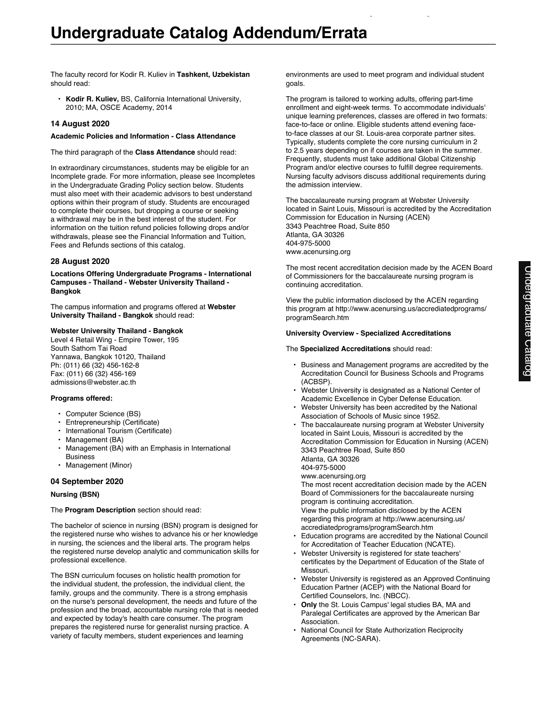The faculty record for Kodir R. Kuliev in **Tashkent, Uzbekistan** should read:

• **Kodir R. Kuliev,** BS, California International University, 2010; MA, OSCE Academy, 2014

## **14 August 2020**

## **Academic Policies and Information - Class Attendance**

The third paragraph of the **Class Attendance** should read:

In extraordinary circumstances, students may be eligible for an Incomplete grade. For more information, please see Incompletes in the Undergraduate Grading Policy section below. Students must also meet with their academic advisors to best understand options within their program of study. Students are encouraged to complete their courses, but dropping a course or seeking a withdrawal may be in the best interest of the student. For information on the tuition refund policies following drops and/or withdrawals, please see the Financial Information and Tuition, Fees and Refunds sections of this catalog.

## **28 August 2020**

**Locations Offering Undergraduate Programs - International Campuses - Thailand - Webster University Thailand - Bangkok**

The campus information and programs offered at **Webster University Thailand - Bangkok** should read:

## **Webster University Thailand - Bangkok**

Level 4 Retail Wing - Empire Tower, 195 South Sathom Tai Road Yannawa, Bangkok 10120, Thailand Ph: (011) 66 (32) 456-162-8 Fax: (011) 66 (32) 456-169 admissions@webster.ac.th

## **Programs offered:**

- Computer Science (BS)
- Entrepreneurship (Certificate)
- International Tourism (Certificate)
- Management (BA)
- Management (BA) with an Emphasis in International Business
- Management (Minor)

## **04 September 2020**

## **Nursing (BSN)**

The **Program Description** section should read:

The bachelor of science in nursing (BSN) program is designed for the registered nurse who wishes to advance his or her knowledge in nursing, the sciences and the liberal arts. The program helps the registered nurse develop analytic and communication skills for professional excellence.

The BSN curriculum focuses on holistic health promotion for the individual student, the profession, the individual client, the family, groups and the community. There is a strong emphasis on the nurse's personal development, the needs and future of the profession and the broad, accountable nursing role that is needed and expected by today's health care consumer. The program prepares the registered nurse for generalist nursing practice. A variety of faculty members, student experiences and learning

environments are used to meet program and individual student goals.

Undergraduate Catalog Addendum/Errata

The program is tailored to working adults, offering part-time enrollment and eight-week terms. To accommodate individuals' unique learning preferences, classes are offered in two formats: face-to-face or online. Eligible students attend evening faceto-face classes at our St. Louis-area corporate partner sites. Typically, students complete the core nursing curriculum in 2 to 2.5 years depending on if courses are taken in the summer. Frequently, students must take additional Global Citizenship Program and/or elective courses to fulfill degree requirements. Nursing faculty advisors discuss additional requirements during the admission interview.

The baccalaureate nursing program at Webster University located in Saint Louis, Missouri is accredited by the Accreditation Commission for Education in Nursing (ACEN) 3343 Peachtree Road, Suite 850 Atlanta, GA 30326 404-975-5000 www.acenursing.org

The most recent accreditation decision made by the ACEN Board of Commissioners for the baccalaureate nursing program is continuing accreditation.

View the public information disclosed by the ACEN regarding this program at http://www.acenursing.us/accrediatedprograms/ programSearch.htm

#### **University Overview - Specialized Accreditations**

The **Specialized Accreditations** should read:

- Business and Management programs are accredited by the Accreditation Council for Business Schools and Programs (ACBSP).
- Webster University is designated as a National Center of Academic Excellence in Cyber Defense Education.
- Webster University has been accredited by the National Association of Schools of Music since 1952.
- The baccalaureate nursing program at Webster University located in Saint Louis, Missouri is accredited by the Accreditation Commission for Education in Nursing (ACEN) 3343 Peachtree Road, Suite 850 Atlanta, GA 30326 404-975-5000

www.acenursing.org The most recent accreditation decision made by the ACEN

Board of Commissioners for the baccalaureate nursing program is continuing accreditation. View the public information disclosed by the ACEN

regarding this program at http://www.acenursing.us/ accrediatedprograms/programSearch.htm

- Education programs are accredited by the National Council for Accreditation of Teacher Education (NCATE).
- Webster University is registered for state teachers' certificates by the Department of Education of the State of Missouri.
- Webster University is registered as an Approved Continuing Education Partner (ACEP) with the National Board for Certified Counselors, Inc. (NBCC).
- **Only** the St. Louis Campus' legal studies BA, MA and Paralegal Certificates are approved by the American Bar Association.
- National Council for State Authorization Reciprocity Agreements (NC-SARA).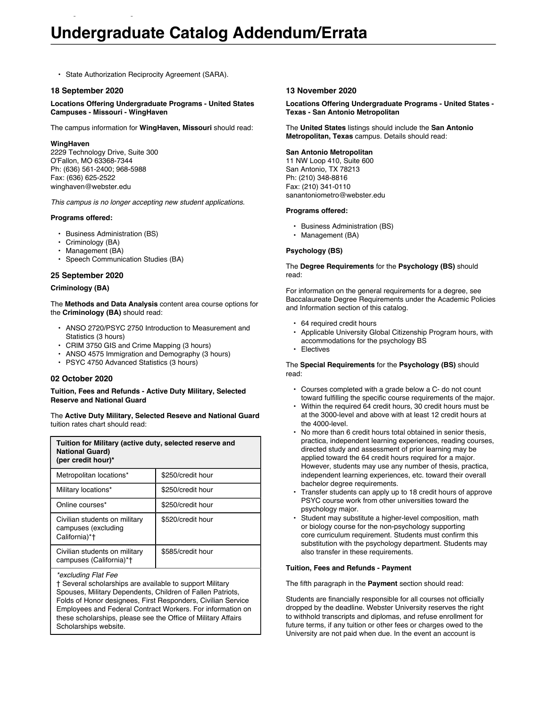# **Undergraduate Catalog Addendum/Errata**

• State Authorization Reciprocity Agreement (SARA).

Undergraduate Catalog Addendum/Errata

#### **18 September 2020**

**Locations Offering Undergraduate Programs - United States Campuses - Missouri - WingHaven**

The campus information for **WingHaven, Missouri** should read:

#### **WingHaven**

2229 Technology Drive, Suite 300 O'Fallon, MO 63368-7344 Ph: (636) 561-2400; 968-5988 Fax: (636) 625-2522 winghaven@webster.edu

*This campus is no longer accepting new student applications.*

#### **Programs offered:**

- Business Administration (BS)
- Criminology (BA)
- Management (BA)
- Speech Communication Studies (BA)

## **25 September 2020**

#### **Criminology (BA)**

The **Methods and Data Analysis** content area course options for the **Criminology (BA)** should read:

- ANSO 2720/PSYC 2750 Introduction to Measurement and Statistics (3 hours)
- CRIM 3750 GIS and Crime Mapping (3 hours)
- ANSO 4575 Immigration and Demography (3 hours)
- PSYC 4750 Advanced Statistics (3 hours)

## **02 October 2020**

**Tuition, Fees and Refunds - Active Duty Military, Selected Reserve and National Guard**

The **Active Duty Military, Selected Reseve and National Guard** tuition rates chart should read:

| Tuition for Military (active duty, selected reserve and<br><b>National Guard)</b><br>(per credit hour)* |                   |
|---------------------------------------------------------------------------------------------------------|-------------------|
| Metropolitan locations*                                                                                 | \$250/credit hour |
| Military locations*                                                                                     | \$250/credit hour |
| Online courses*                                                                                         | \$250/credit hour |
| Civilian students on military<br>campuses (excluding<br>California)*†                                   | \$520/credit hour |
| Civilian students on military<br>campuses (California)*†                                                | \$585/credit hour |

#### *\*excluding Flat Fee*

† Several scholarships are available to support Military Spouses, Military Dependents, Children of Fallen Patriots, Folds of Honor designees, First Responders, Civilian Service Employees and Federal Contract Workers. For information on these scholarships, please see the Office of Military Affairs Scholarships website.

#### **13 November 2020**

#### **Locations Offering Undergraduate Programs - United States - Texas - San Antonio Metropolitan**

The **United States** listings should include the **San Antonio Metropolitan, Texas** campus. Details should read:

#### **San Antonio Metropolitan**

11 NW Loop 410, Suite 600 San Antonio, TX 78213 Ph: (210) 348-8816 Fax: (210) 341-0110 sanantoniometro@webster.edu

#### **Programs offered:**

- Business Administration (BS)
- Management (BA)

#### **Psychology (BS)**

#### The **Degree Requirements** for the **Psychology (BS)** should read:

For information on the general requirements for a degree, see Baccalaureate Degree Requirements under the Academic Policies and Information section of this catalog.

- 64 required credit hours
- Applicable University Global Citizenship Program hours, with accommodations for the psychology BS
- Electives

The **Special Requirements** for the **Psychology (BS)** should read:

- Courses completed with a grade below a C- do not count toward fulfilling the specific course requirements of the major.
- Within the required 64 credit hours, 30 credit hours must be at the 3000-level and above with at least 12 credit hours at the 4000-level.
- No more than 6 credit hours total obtained in senior thesis, practica, independent learning experiences, reading courses, directed study and assessment of prior learning may be applied toward the 64 credit hours required for a major. However, students may use any number of thesis, practica, independent learning experiences, etc. toward their overall bachelor degree requirements.
- Transfer students can apply up to 18 credit hours of approve PSYC course work from other universities toward the psychology major.
- Student may substitute a higher-level composition, math or biology course for the non-psychology supporting core curriculum requirement. Students must confirm this substitution with the psychology department. Students may also transfer in these requirements.

#### **Tuition, Fees and Refunds - Payment**

The fifth paragraph in the **Payment** section should read:

Students are financially responsible for all courses not officially dropped by the deadline. Webster University reserves the right to withhold transcripts and diplomas, and refuse enrollment for future terms, if any tuition or other fees or charges owed to the University are not paid when due. In the event an account is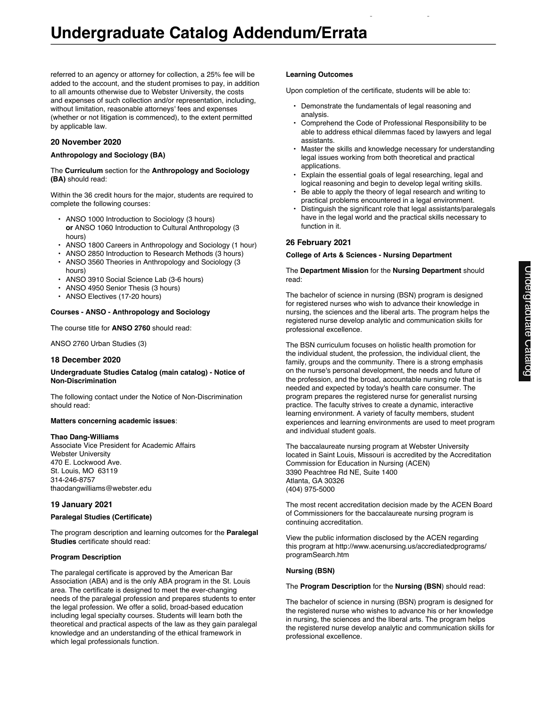referred to an agency or attorney for collection, a 25% fee will be added to the account, and the student promises to pay, in addition to all amounts otherwise due to Webster University, the costs and expenses of such collection and/or representation, including, without limitation, reasonable attorneys' fees and expenses (whether or not litigation is commenced), to the extent permitted by applicable law.

## **20 November 2020**

## **Anthropology and Sociology (BA)**

#### The **Curriculum** section for the **Anthropology and Sociology (BA)** should read:

Within the 36 credit hours for the major, students are required to complete the following courses:

- ANSO 1000 Introduction to Sociology (3 hours) **or** ANSO 1060 Introduction to Cultural Anthropology (3 hours)
- ANSO 1800 Careers in Anthropology and Sociology (1 hour)
- ANSO 2850 Introduction to Research Methods (3 hours)
- ANSO 3560 Theories in Anthropology and Sociology (3 hours)
- ANSO 3910 Social Science Lab (3-6 hours)
- ANSO 4950 Senior Thesis (3 hours)
- ANSO Electives (17-20 hours)

## **Courses - ANSO - Anthropology and Sociology**

The course title for **ANSO 2760** should read:

ANSO 2760 Urban Studies (3)

## **18 December 2020**

#### **Undergraduate Studies Catalog (main catalog) - Notice of Non-Discrimination**

The following contact under the Notice of Non-Discrimination should read:

## **Matters concerning academic issues**:

## **Thao Dang-Williams**

Associate Vice President for Academic Affairs Webster University 470 E. Lockwood Ave. St. Louis, MO 63119 314-246-8757 thaodangwilliams@webster.edu

## **19 January 2021**

## **Paralegal Studies (Certificate)**

The program description and learning outcomes for the **Paralegal Studies** certificate should read:

## **Program Description**

The paralegal certificate is approved by the American Bar Association (ABA) and is the only ABA program in the St. Louis area. The certificate is designed to meet the ever-changing needs of the paralegal profession and prepares students to enter the legal profession. We offer a solid, broad-based education including legal specialty courses. Students will learn both the theoretical and practical aspects of the law as they gain paralegal knowledge and an understanding of the ethical framework in which legal professionals function.

#### **Learning Outcomes**

Upon completion of the certificate, students will be able to:

- Demonstrate the fundamentals of legal reasoning and analysis.
- Comprehend the Code of Professional Responsibility to be able to address ethical dilemmas faced by lawyers and legal assistants.

Undergraduate Catalog Addendum/Errata

- Master the skills and knowledge necessary for understanding legal issues working from both theoretical and practical applications.
- Explain the essential goals of legal researching, legal and logical reasoning and begin to develop legal writing skills.
- Be able to apply the theory of legal research and writing to practical problems encountered in a legal environment.
- Distinguish the significant role that legal assistants/paralegals have in the legal world and the practical skills necessary to function in it.

## **26 February 2021**

#### **College of Arts & Sciences - Nursing Department**

#### The **Department Mission** for the **Nursing Department** should read:

The bachelor of science in nursing (BSN) program is designed for registered nurses who wish to advance their knowledge in nursing, the sciences and the liberal arts. The program helps the registered nurse develop analytic and communication skills for professional excellence.

The BSN curriculum focuses on holistic health promotion for the individual student, the profession, the individual client, the family, groups and the community. There is a strong emphasis on the nurse's personal development, the needs and future of the profession, and the broad, accountable nursing role that is needed and expected by today's health care consumer. The program prepares the registered nurse for generalist nursing practice. The faculty strives to create a dynamic, interactive learning environment. A variety of faculty members, student experiences and learning environments are used to meet program and individual student goals.

The baccalaureate nursing program at Webster University located in Saint Louis, Missouri is accredited by the Accreditation Commission for Education in Nursing (ACEN) 3390 Peachtree Rd NE, Suite 1400 Atlanta, GA 30326 (404) 975-5000

The most recent accreditation decision made by the ACEN Board of Commissioners for the baccalaureate nursing program is continuing accreditation.

View the public information disclosed by the ACEN regarding this program at http://www.acenursing.us/accrediatedprograms/ programSearch.htm

## **Nursing (BSN)**

## The **Program Description** for the **Nursing (BSN**) should read:

The bachelor of science in nursing (BSN) program is designed for the registered nurse who wishes to advance his or her knowledge in nursing, the sciences and the liberal arts. The program helps the registered nurse develop analytic and communication skills for professional excellence.